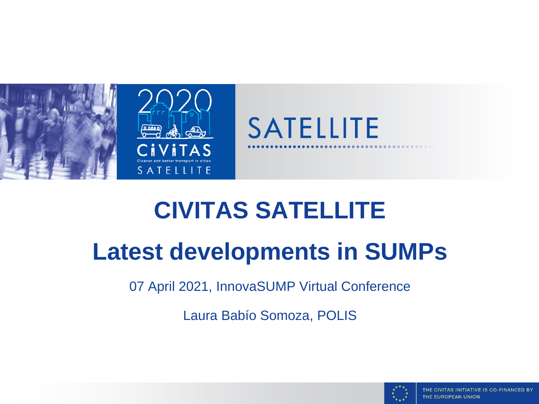

# **CIVITAS SATELLITE**

## **Latest developments in SUMPs**

07 April 2021, InnovaSUMP Virtual Conference

Laura Babío Somoza, POLIS

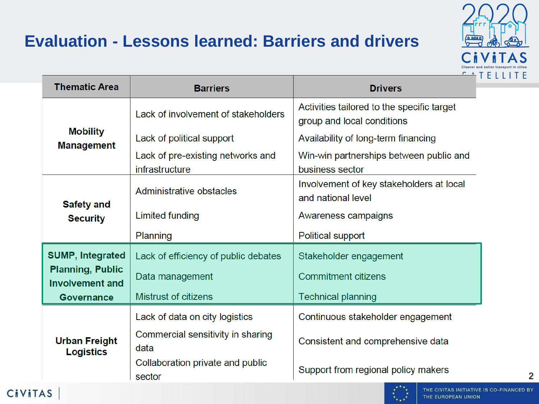#### **Evaluation - Lessons learned: Barriers and drivers**



| <b>Thematic Area</b>                              | <b>Barriers</b>                                     | <b>Drivers</b>                                                           |  |  |  |
|---------------------------------------------------|-----------------------------------------------------|--------------------------------------------------------------------------|--|--|--|
| <b>Mobility</b><br><b>Management</b>              | Lack of involvement of stakeholders                 | Activities tailored to the specific target<br>group and local conditions |  |  |  |
|                                                   | Lack of political support                           | Availability of long-term financing                                      |  |  |  |
|                                                   | Lack of pre-existing networks and<br>infrastructure | Win-win partnerships between public and<br>business sector               |  |  |  |
| <b>Safety and</b><br><b>Security</b>              | Administrative obstacles                            | Involvement of key stakeholders at local<br>and national level           |  |  |  |
|                                                   | <b>Limited funding</b>                              | Awareness campaigns                                                      |  |  |  |
|                                                   | Planning                                            | <b>Political support</b>                                                 |  |  |  |
| <b>SUMP, Integrated</b>                           | Lack of efficiency of public debates                | Stakeholder engagement                                                   |  |  |  |
| <b>Planning, Public</b><br><b>Involvement and</b> | Data management                                     | <b>Commitment citizens</b>                                               |  |  |  |
| <b>Governance</b>                                 | <b>Mistrust of citizens</b>                         | <b>Technical planning</b>                                                |  |  |  |
| <b>Urban Freight</b><br><b>Logistics</b>          | Lack of data on city logistics                      | Continuous stakeholder engagement                                        |  |  |  |
|                                                   | Commercial sensitivity in sharing<br>data           | Consistent and comprehensive data                                        |  |  |  |
|                                                   | Collaboration private and public<br>sector          | Support from regional policy makers                                      |  |  |  |

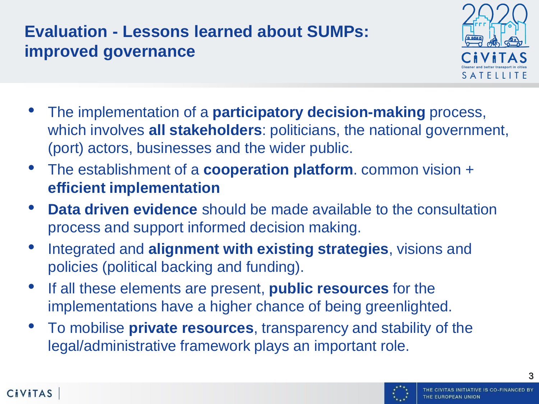#### **Evaluation - Lessons learned about SUMPs: improved governance**



- The implementation of a **participatory decision-making** process, which involves **all stakeholders**: politicians, the national government, (port) actors, businesses and the wider public.
- The establishment of a **cooperation platform**. common vision + **efficient implementation**
- **Data driven evidence** should be made available to the consultation process and support informed decision making.
- Integrated and **alignment with existing strategies**, visions and policies (political backing and funding).
- If all these elements are present, **public resources** for the implementations have a higher chance of being greenlighted.

**CiviTAS** 

• To mobilise **private resources**, transparency and stability of the legal/administrative framework plays an important role.

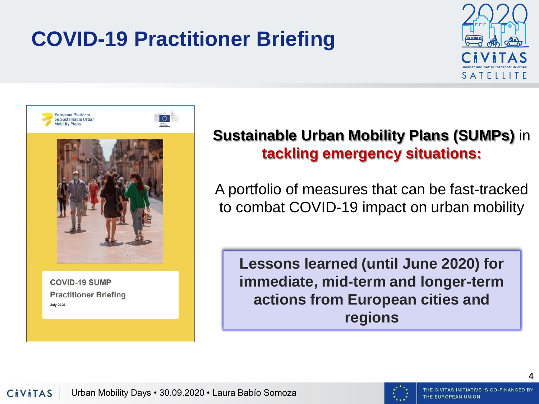## **COVID-19 Practitioner Briefing**





**COVID-19 SUMP Practitioner Briefing July 2020** 

#### **Sustainable Urban Mobility Plans (SUMPs)** in **tackling emergency situations:**

A portfolio of measures that can be fast-tracked to combat COVID-19 impact on urban mobility

**Lessons learned (until June 2020) for immediate, mid-term and longer-term actions from European cities and regions**

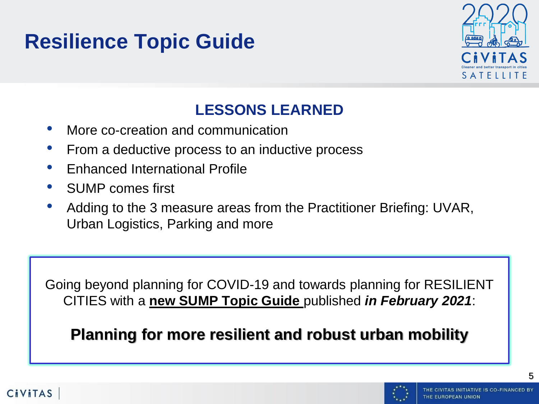### **Resilience Topic Guide**



#### **LESSONS LEARNED**

- More co-creation and communication
- From a deductive process to an inductive process
- Enhanced International Profile
- SUMP comes first
- Adding to the 3 measure areas from the Practitioner Briefing: UVAR, Urban Logistics, Parking and more

Going beyond planning for COVID-19 and towards planning for RESILIENT CITIES with a **new SUMP Topic Guide** published *in February 2021*:

**Planning for more resilient and robust urban mobility** 

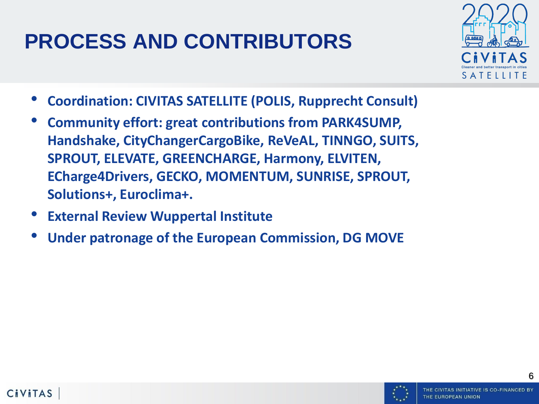## **PROCESS AND CONTRIBUTORS**



- **Coordination: CIVITAS SATELLITE (POLIS, Rupprecht Consult)**
- **Community effort: great contributions from PARK4SUMP, Handshake, CityChangerCargoBike, ReVeAL, TINNGO, SUITS, SPROUT, ELEVATE, GREENCHARGE, Harmony, ELVITEN, ECharge4Drivers, GECKO, MOMENTUM, SUNRISE, SPROUT, Solutions+, Euroclima+.**
- **External Review Wuppertal Institute**
- **Under patronage of the European Commission, DG MOVE**

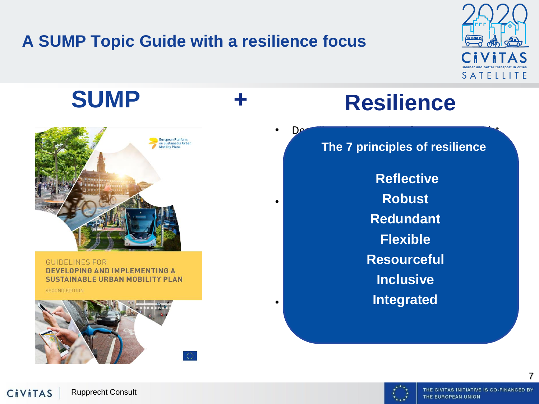#### **A SUMP Topic Guide with a resilience focus**





**GUIDELINES FOR DEVELOPING AND IMPLEMENTING A SUSTAINABLE URBAN MOBILITY PLAN** 

**SECOND EDITION** 



## **SUMP + Resilience**

• Describes the capacity of a system to resist,

**adapt its The 7 principles of resilience** 

maintain levels of functionality **Reflective** • Resilience offers a comprehensive socio-**Robust** technical perspective that emphasises the **Redundant** importance of anticipating and reducing one's vulnerability in combination with the monitoring efforts, the ability to respond to respond to  $\mathbb{R}$ and the capacity to learn from crises **Inclusive** • Broad concept for all areas of urban **IntegratedFlexible**

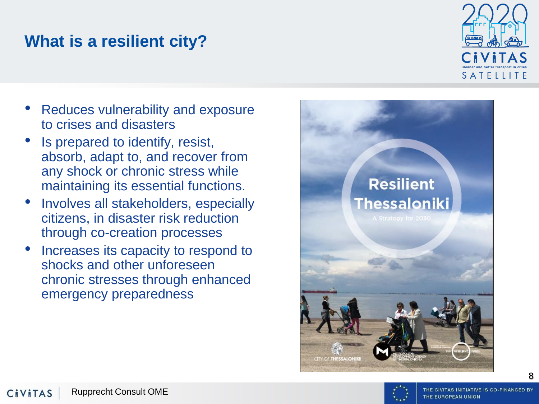#### **What is a resilient city?**



- Reduces vulnerability and exposure to crises and disasters
- Is prepared to identify, resist, absorb, adapt to, and recover from any shock or chronic stress while maintaining its essential functions.
- Involves all stakeholders, especially citizens, in disaster risk reduction through co -creation processes
- Increases its capacity to respond to shocks and other unforeseen chronic stresses through enhanced emergency preparedness



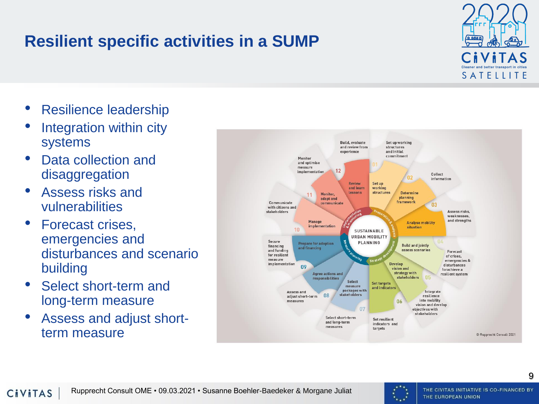





- Integration within city systems
- Data collection and disaggregation
- Assess risks and vulnerabilities
- Forecast crises, emergencies and disturbances and scenario building
- Select short-term and long-term measure
- Assess and adjust shortterm measure

**Resilient specific activities in a SUMP**

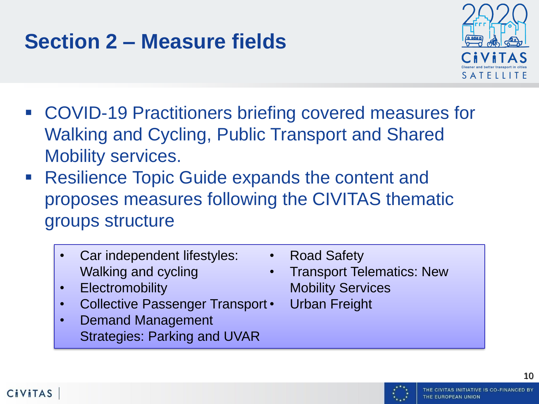### **Section 2 – Measure fields**



- COVID-19 Practitioners briefing covered measures for Walking and Cycling, Public Transport and Shared Mobility services.
- Resilience Topic Guide expands the content and proposes measures following the CIVITAS thematic groups structure
	- Car independent lifestyles: Walking and cycling
	- Electromobility
	- Collective Passenger Transport •
	- Demand Management Strategies: Parking and UVAR
- Road Safety
- Transport Telematics: New Mobility Services
	- Urban Freight

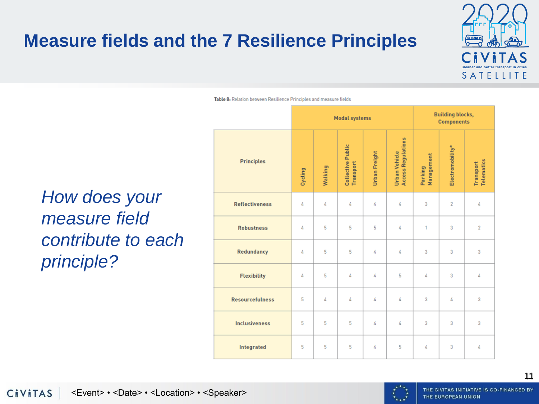#### **Measure fields and the 7 Resilience Principles**



Table 8: Relation between Resilience Principles and measure fields

#### *How does your measure field contribute to each principle?*

|                        | <b>Modal systems</b> |         |                                |               | <b>Building blocks,</b><br><b>Components</b> |                       |                  |                         |
|------------------------|----------------------|---------|--------------------------------|---------------|----------------------------------------------|-----------------------|------------------|-------------------------|
| <b>Principles</b>      | Cycling              | Walking | Collective Public<br>Transport | Urban Freight | <b>Access Regulations</b><br>Urban Vehicle   | Management<br>Parking | Electromobility* | Telematics<br>Transport |
| <b>Reflectiveness</b>  | 4                    | 4       | 4                              | 4             | 4                                            | 3                     | $\overline{2}$   | 4                       |
| <b>Robustness</b>      | 4                    | 5       | 5                              | 5             | 4                                            | 1                     | 3                | $\overline{2}$          |
| <b>Redundancy</b>      | 4                    | 5       | 5                              | 4             | 4                                            | 3                     | 3                | 3                       |
| <b>Flexibility</b>     | 4                    | 5       | 4                              | 4             | 5                                            | 4                     | 3                | 4                       |
| <b>Resourcefulness</b> | 5                    | 4       | 4                              | 4             | 4                                            | 3                     | 4                | 3                       |
| <b>Inclusiveness</b>   | 5                    | 5       | 5                              | 4             | 4                                            | 3                     | 3                | 3                       |
| <b>Integrated</b>      | 5                    | 5       | 5                              | 4             | 5                                            | 4                     | 3                | 4                       |



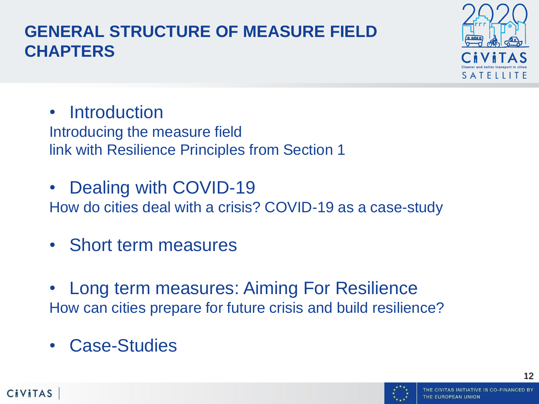#### **GENERAL STRUCTURE OF MEASURE FIELD CHAPTERS**



- Introduction Introducing the measure field link with Resilience Principles from Section 1
- Dealing with COVID-19 How do cities deal with a crisis? COVID-19 as a case-study
- Short term measures
- Long term measures: Aiming For Resilience How can cities prepare for future crisis and build resilience?
- Case-Studies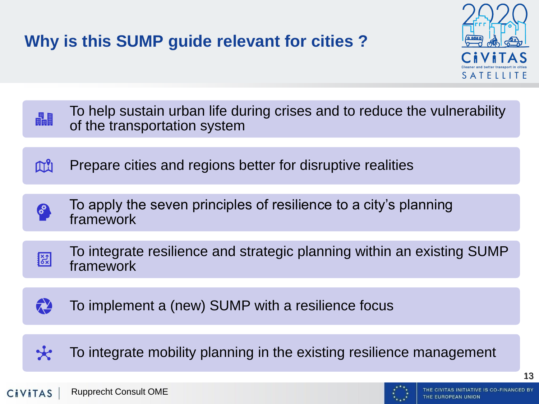#### **Why is this SUMP guide relevant for cities ?**



| 畾 | To help sustain urban life during crises and to reduce the vulnerability<br>of the transportation system |
|---|----------------------------------------------------------------------------------------------------------|
| M | Prepare cities and regions better for disruptive realities                                               |
|   |                                                                                                          |
| 8 | To apply the seven principles of resilience to a city's planning<br>framework                            |
|   |                                                                                                          |
| 图 | To integrate resilience and strategic planning within an existing SUMP<br>framework                      |
|   |                                                                                                          |
|   | To implement a (new) SUMP with a resilience focus                                                        |
|   |                                                                                                          |
|   |                                                                                                          |

To integrate mobility planning in the existing resilience management  $\star$